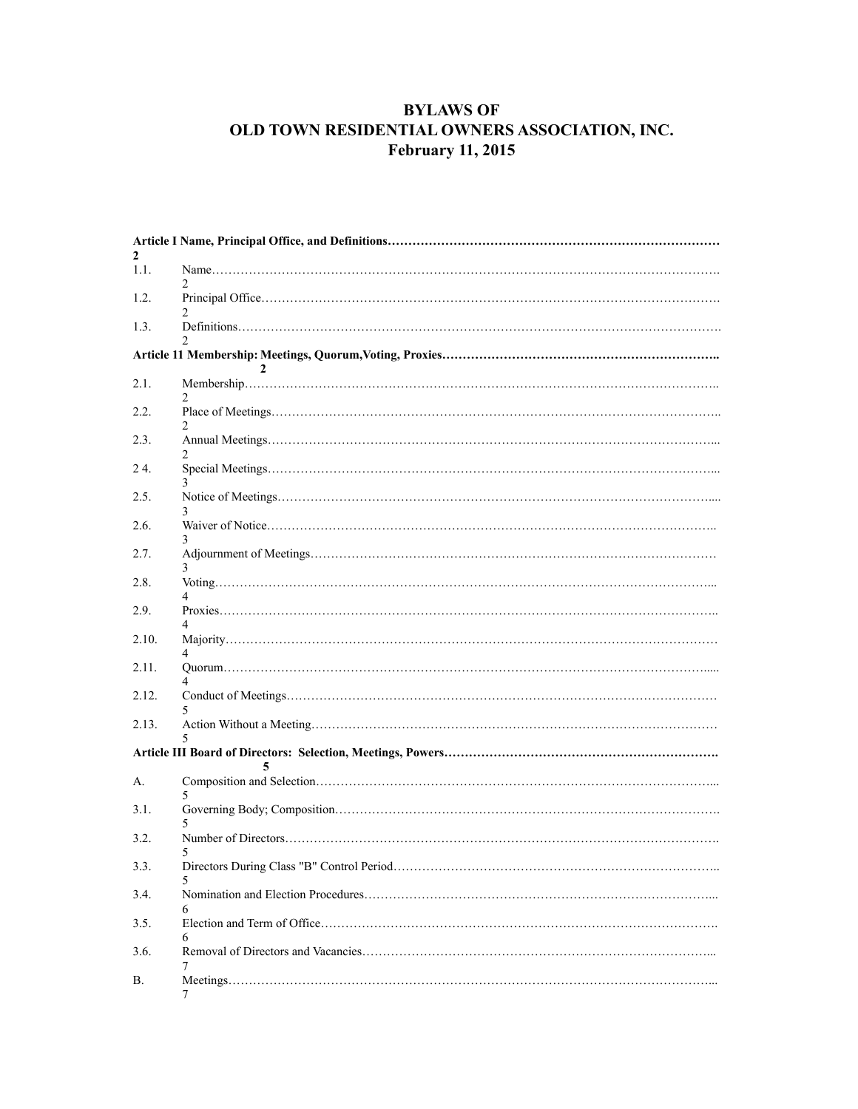# **BYLAWS OF OLD TOWN RESIDENTIAL OWNERS ASSOCIATION, INC. February 11, 2015**

| 2              |   |  |
|----------------|---|--|
| 1.1.           |   |  |
| 1.2.           |   |  |
| 1.3.           |   |  |
| $\mathfrak{D}$ |   |  |
| 2.1.           |   |  |
| 2.2.           |   |  |
| 2.3.           |   |  |
| 24.            |   |  |
| 2.5.           |   |  |
| 2.6.           |   |  |
| 2.7.           | 3 |  |
| 2.8.           |   |  |
| 2.9.           |   |  |
| 2.10.          | 4 |  |
| 2.11.          |   |  |
| 2.12.          |   |  |
| 2.13.          |   |  |
|                |   |  |
| А.             |   |  |
| 3.1.           |   |  |
| 3.2.           | 5 |  |
| 3.3.           |   |  |
| 3.4.           |   |  |
| 3.5.           | 6 |  |
| 3.6.           |   |  |
| В.             | 7 |  |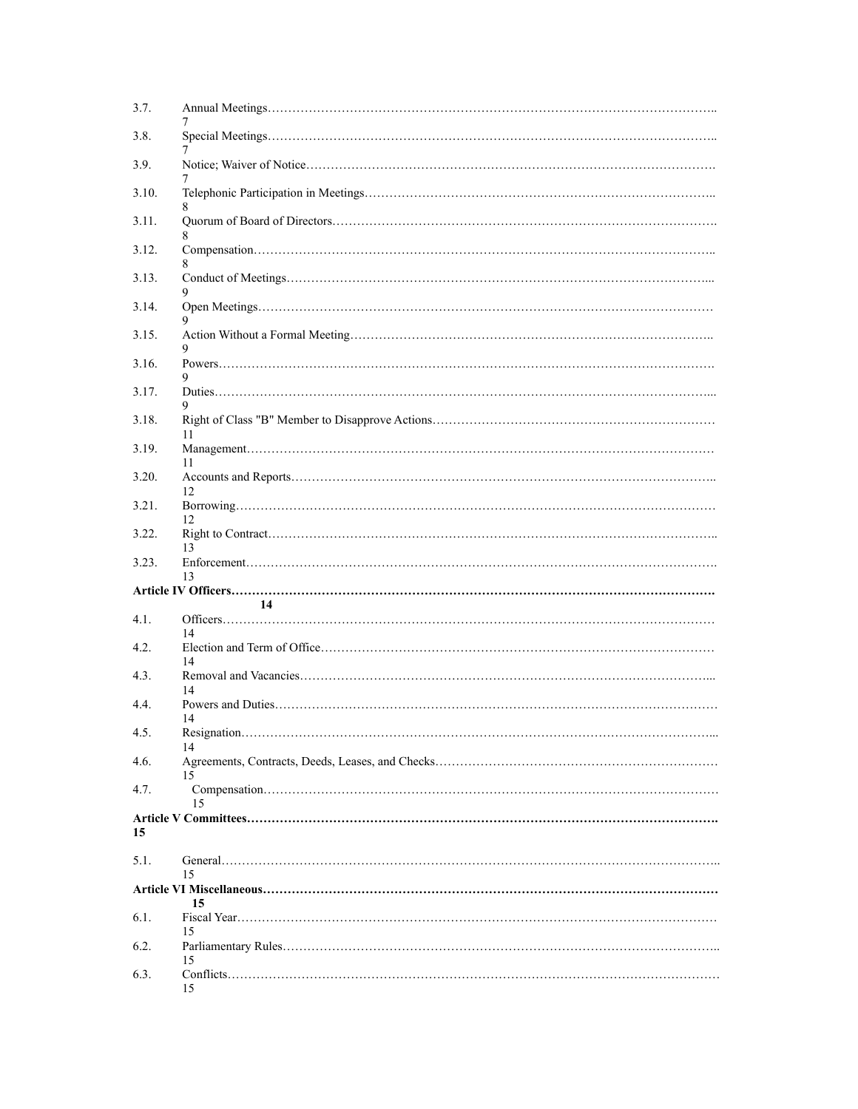| 3.7.  |          |  |
|-------|----------|--|
| 3.8.  |          |  |
| 3.9.  |          |  |
| 3.10. |          |  |
| 3.11. | 8        |  |
| 3.12. |          |  |
| 3.13. |          |  |
| 3.14. | 9        |  |
| 3.15. | 9        |  |
| 3.16. |          |  |
| 3.17. | 9        |  |
| 3.18. | 11       |  |
| 3.19. | 11       |  |
| 3.20. | 12       |  |
| 3.21. | 12       |  |
| 3.22. | 13       |  |
| 3.23. | 13       |  |
|       |          |  |
| 4.1.  | 14<br>14 |  |
| 4.2.  | 14       |  |
| 4.3.  | 14       |  |
| 4.4.  | 14       |  |
| 4.5.  | 14       |  |
| 4.6.  | 15       |  |
| 4.7.  | 15       |  |
| 15    |          |  |
| 5.1.  |          |  |
|       | 15       |  |
| 6.1.  | 15       |  |
| 6.2.  | 15       |  |
| 6.3.  | 15       |  |
|       | 15       |  |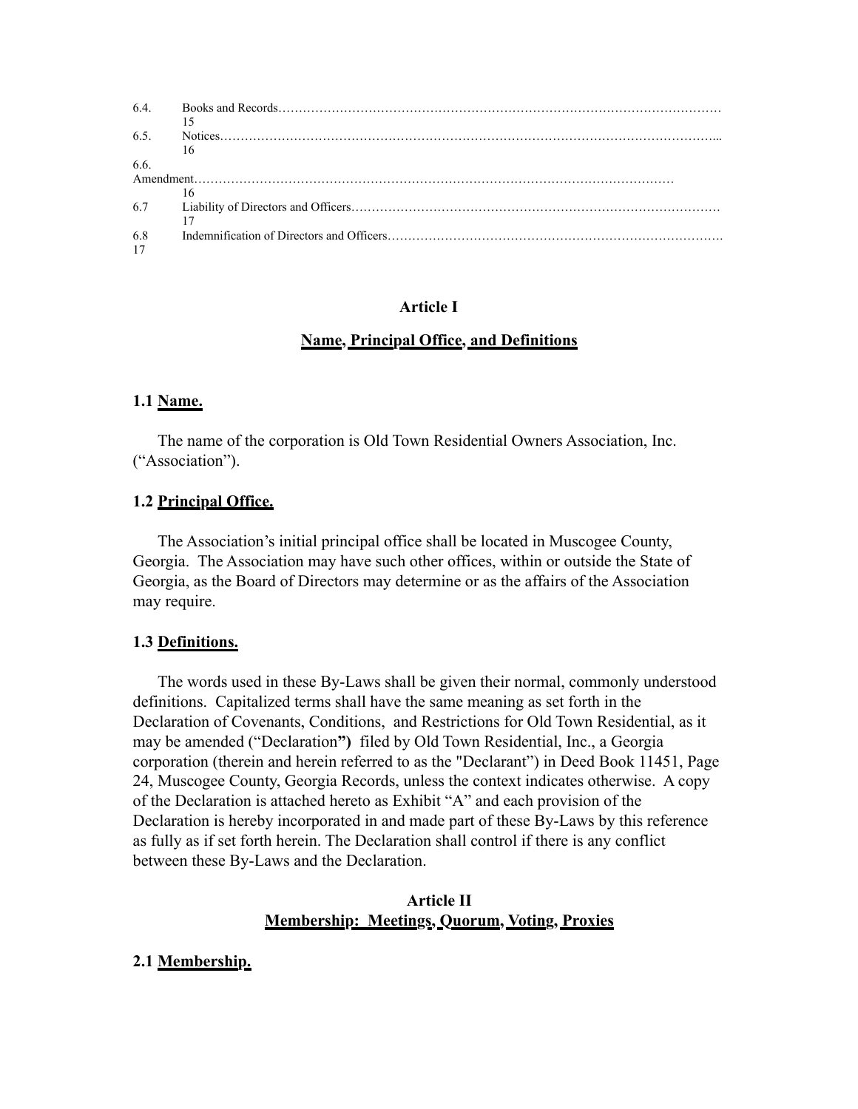| 6.4. |    |  |
|------|----|--|
|      |    |  |
| 6.5. |    |  |
|      | 16 |  |
| 6.6  |    |  |
|      |    |  |
|      | 16 |  |
| 6.7  |    |  |
|      |    |  |
| 6.8  |    |  |
| 17   |    |  |

## **Article I**

## **Name, Principal Office, and Definitions**

### **1.1 Name.**

The name of the corporation is Old Town Residential Owners Association, Inc. ("Association").

## **1.2 Principal Office.**

The Association's initial principal office shall be located in Muscogee County, Georgia. The Association may have such other offices, within or outside the State of Georgia, as the Board of Directors may determine or as the affairs of the Association may require.

#### **1.3 Definitions.**

The words used in these By-Laws shall be given their normal, commonly understood definitions. Capitalized terms shall have the same meaning as set forth in the Declaration of Covenants, Conditions, and Restrictions for Old Town Residential, as it may be amended ("Declaration**")** filed by Old Town Residential, Inc., a Georgia corporation (therein and herein referred to as the "Declarant") in Deed Book 11451, Page 24, Muscogee County, Georgia Records, unless the context indicates otherwise. A copy of the Declaration is attached hereto as Exhibit "A" and each provision of the Declaration is hereby incorporated in and made part of these By-Laws by this reference as fully as if set forth herein. The Declaration shall control if there is any conflict between these By-Laws and the Declaration.

## **Article II Membership: Meetings, Quorum, Voting, Proxies**

### **2.1 Membership.**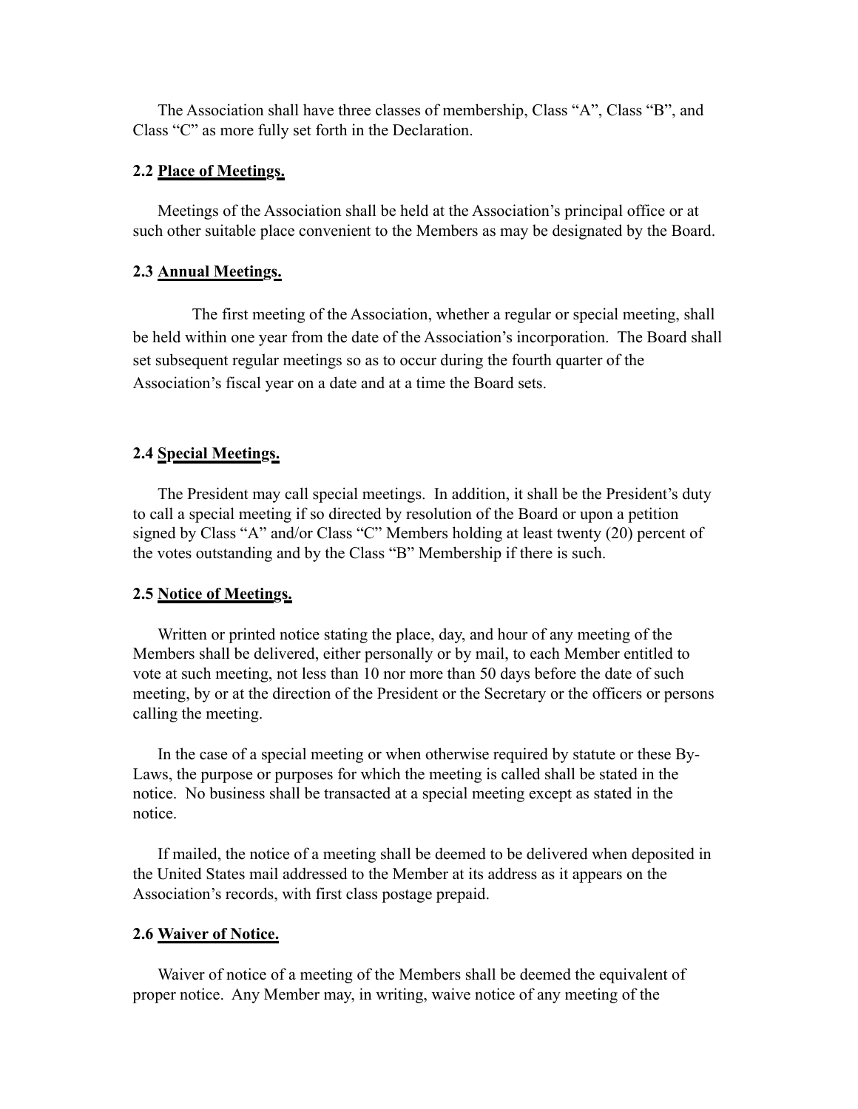The Association shall have three classes of membership, Class "A", Class "B", and Class "C" as more fully set forth in the Declaration.

### **2.2 Place of Meetings.**

Meetings of the Association shall be held at the Association's principal office or at such other suitable place convenient to the Members as may be designated by the Board.

## **2.3 Annual Meetings.**

The first meeting of the Association, whether a regular or special meeting, shall be held within one year from the date of the Association's incorporation. The Board shall set subsequent regular meetings so as to occur during the fourth quarter of the Association's fiscal year on a date and at a time the Board sets.

## **2.4 Special Meetings.**

The President may call special meetings. In addition, it shall be the President's duty to call a special meeting if so directed by resolution of the Board or upon a petition signed by Class "A" and/or Class "C" Members holding at least twenty (20) percent of the votes outstanding and by the Class "B" Membership if there is such.

### **2.5 Notice of Meetings.**

Written or printed notice stating the place, day, and hour of any meeting of the Members shall be delivered, either personally or by mail, to each Member entitled to vote at such meeting, not less than 10 nor more than 50 days before the date of such meeting, by or at the direction of the President or the Secretary or the officers or persons calling the meeting.

In the case of a special meeting or when otherwise required by statute or these By-Laws, the purpose or purposes for which the meeting is called shall be stated in the notice. No business shall be transacted at a special meeting except as stated in the notice.

If mailed, the notice of a meeting shall be deemed to be delivered when deposited in the United States mail addressed to the Member at its address as it appears on the Association's records, with first class postage prepaid.

### **2.6 Waiver of Notice.**

Waiver of notice of a meeting of the Members shall be deemed the equivalent of proper notice. Any Member may, in writing, waive notice of any meeting of the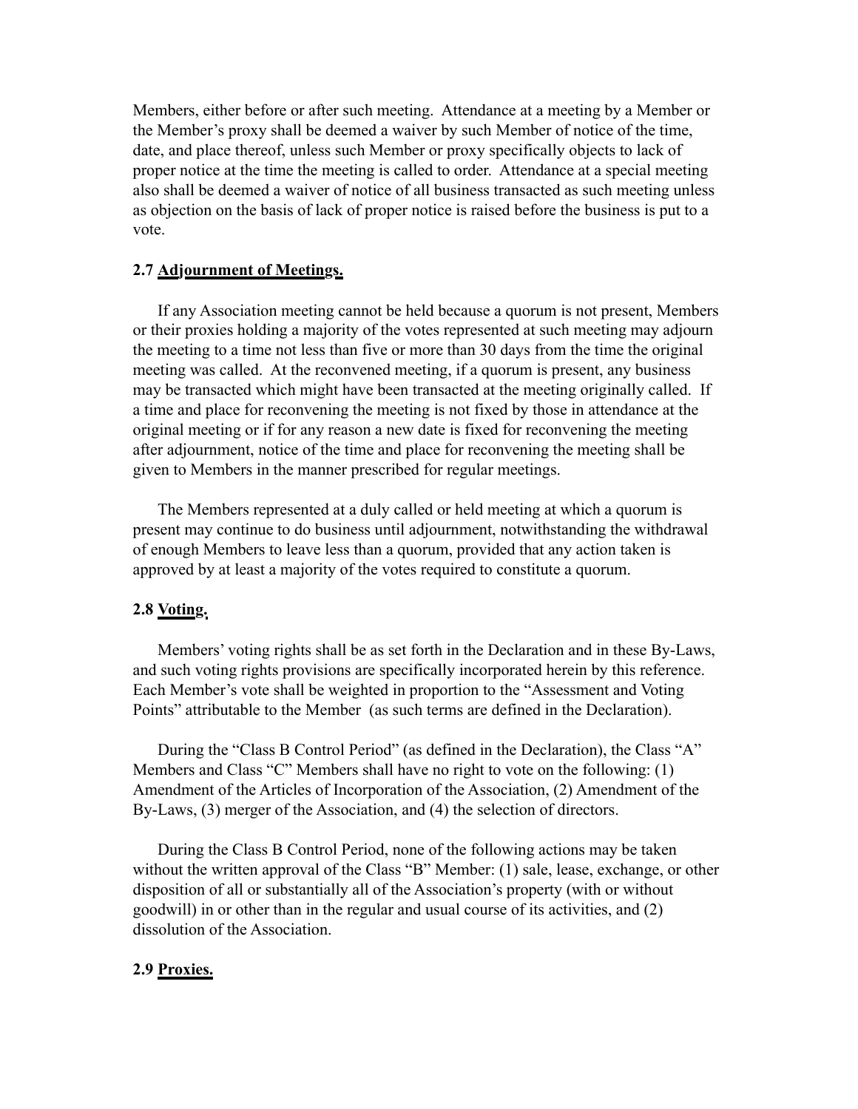Members, either before or after such meeting. Attendance at a meeting by a Member or the Member's proxy shall be deemed a waiver by such Member of notice of the time, date, and place thereof, unless such Member or proxy specifically objects to lack of proper notice at the time the meeting is called to order. Attendance at a special meeting also shall be deemed a waiver of notice of all business transacted as such meeting unless as objection on the basis of lack of proper notice is raised before the business is put to a vote.

## **2.7 Adjournment of Meetings.**

If any Association meeting cannot be held because a quorum is not present, Members or their proxies holding a majority of the votes represented at such meeting may adjourn the meeting to a time not less than five or more than 30 days from the time the original meeting was called. At the reconvened meeting, if a quorum is present, any business may be transacted which might have been transacted at the meeting originally called. If a time and place for reconvening the meeting is not fixed by those in attendance at the original meeting or if for any reason a new date is fixed for reconvening the meeting after adjournment, notice of the time and place for reconvening the meeting shall be given to Members in the manner prescribed for regular meetings.

The Members represented at a duly called or held meeting at which a quorum is present may continue to do business until adjournment, notwithstanding the withdrawal of enough Members to leave less than a quorum, provided that any action taken is approved by at least a majority of the votes required to constitute a quorum.

#### **2.8 Voting.**

Members' voting rights shall be as set forth in the Declaration and in these By-Laws, and such voting rights provisions are specifically incorporated herein by this reference. Each Member's vote shall be weighted in proportion to the "Assessment and Voting Points" attributable to the Member (as such terms are defined in the Declaration).

During the "Class B Control Period" (as defined in the Declaration), the Class "A" Members and Class "C" Members shall have no right to vote on the following: (1) Amendment of the Articles of Incorporation of the Association, (2) Amendment of the By-Laws, (3) merger of the Association, and (4) the selection of directors.

During the Class B Control Period, none of the following actions may be taken without the written approval of the Class "B" Member: (1) sale, lease, exchange, or other disposition of all or substantially all of the Association's property (with or without goodwill) in or other than in the regular and usual course of its activities, and (2) dissolution of the Association.

## **2.9 Proxies.**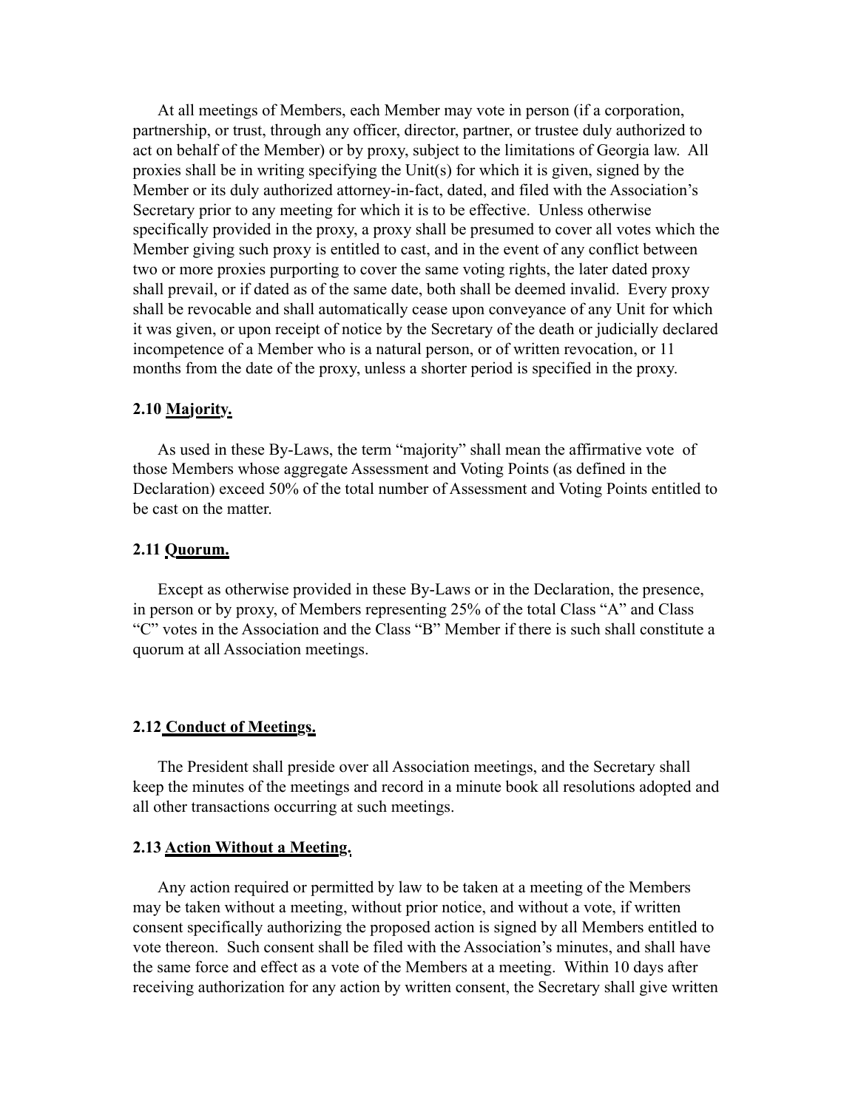At all meetings of Members, each Member may vote in person (if a corporation, partnership, or trust, through any officer, director, partner, or trustee duly authorized to act on behalf of the Member) or by proxy, subject to the limitations of Georgia law. All proxies shall be in writing specifying the Unit(s) for which it is given, signed by the Member or its duly authorized attorney-in-fact, dated, and filed with the Association's Secretary prior to any meeting for which it is to be effective. Unless otherwise specifically provided in the proxy, a proxy shall be presumed to cover all votes which the Member giving such proxy is entitled to cast, and in the event of any conflict between two or more proxies purporting to cover the same voting rights, the later dated proxy shall prevail, or if dated as of the same date, both shall be deemed invalid. Every proxy shall be revocable and shall automatically cease upon conveyance of any Unit for which it was given, or upon receipt of notice by the Secretary of the death or judicially declared incompetence of a Member who is a natural person, or of written revocation, or 11 months from the date of the proxy, unless a shorter period is specified in the proxy.

### **2.10 Majority.**

As used in these By-Laws, the term "majority" shall mean the affirmative vote of those Members whose aggregate Assessment and Voting Points (as defined in the Declaration) exceed 50% of the total number of Assessment and Voting Points entitled to be cast on the matter.

### **2.11 Quorum.**

Except as otherwise provided in these By-Laws or in the Declaration, the presence, in person or by proxy, of Members representing 25% of the total Class "A" and Class "C" votes in the Association and the Class "B" Member if there is such shall constitute a quorum at all Association meetings.

#### **2.12 Conduct of Meetings.**

The President shall preside over all Association meetings, and the Secretary shall keep the minutes of the meetings and record in a minute book all resolutions adopted and all other transactions occurring at such meetings.

### **2.13 Action Without a Meeting.**

Any action required or permitted by law to be taken at a meeting of the Members may be taken without a meeting, without prior notice, and without a vote, if written consent specifically authorizing the proposed action is signed by all Members entitled to vote thereon. Such consent shall be filed with the Association's minutes, and shall have the same force and effect as a vote of the Members at a meeting. Within 10 days after receiving authorization for any action by written consent, the Secretary shall give written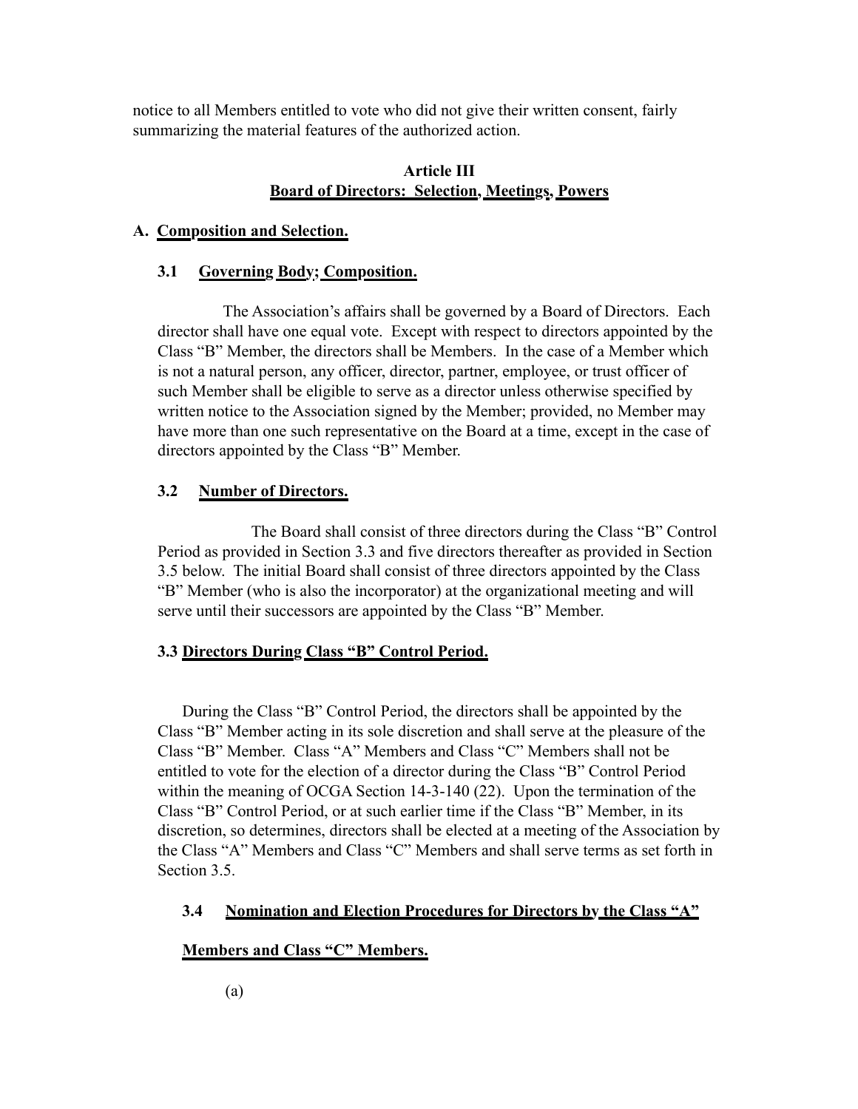notice to all Members entitled to vote who did not give their written consent, fairly summarizing the material features of the authorized action.

# **Article III Board of Directors: Selection, Meetings, Powers**

## **A. Composition and Selection.**

## **3.1 Governing Body; Composition.**

 The Association's affairs shall be governed by a Board of Directors. Each director shall have one equal vote. Except with respect to directors appointed by the Class "B" Member, the directors shall be Members. In the case of a Member which is not a natural person, any officer, director, partner, employee, or trust officer of such Member shall be eligible to serve as a director unless otherwise specified by written notice to the Association signed by the Member; provided, no Member may have more than one such representative on the Board at a time, except in the case of directors appointed by the Class "B" Member.

# **3.2 Number of Directors.**

The Board shall consist of three directors during the Class "B" Control Period as provided in Section 3.3 and five directors thereafter as provided in Section 3.5 below. The initial Board shall consist of three directors appointed by the Class "B" Member (who is also the incorporator) at the organizational meeting and will serve until their successors are appointed by the Class "B" Member.

# **3.3 Directors During Class "B" Control Period.**

During the Class "B" Control Period, the directors shall be appointed by the Class "B" Member acting in its sole discretion and shall serve at the pleasure of the Class "B" Member. Class "A" Members and Class "C" Members shall not be entitled to vote for the election of a director during the Class "B" Control Period within the meaning of OCGA Section 14-3-140 (22). Upon the termination of the Class "B" Control Period, or at such earlier time if the Class "B" Member, in its discretion, so determines, directors shall be elected at a meeting of the Association by the Class "A" Members and Class "C" Members and shall serve terms as set forth in Section 3.5.

## **3.4 Nomination and Election Procedures for Directors by the Class "A"**

# **Members and Class "C" Members.**

(a)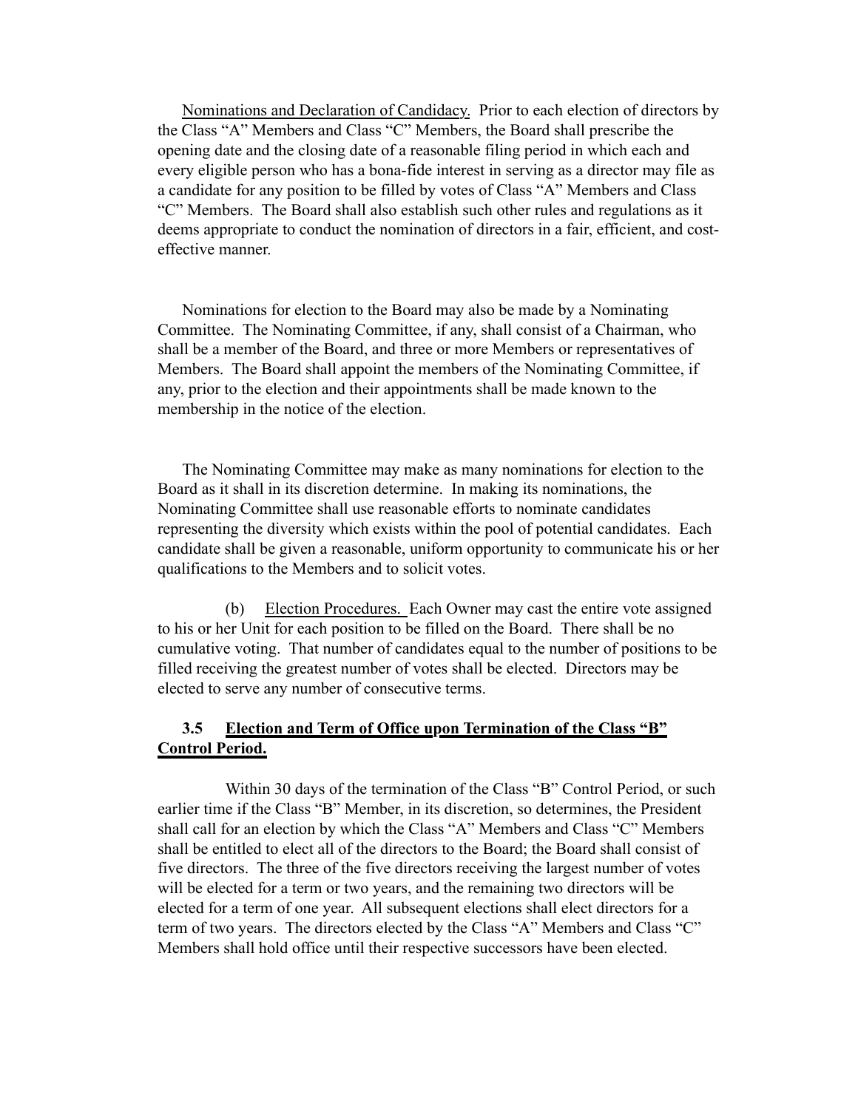Nominations and Declaration of Candidacy. Prior to each election of directors by the Class "A" Members and Class "C" Members, the Board shall prescribe the opening date and the closing date of a reasonable filing period in which each and every eligible person who has a bona-fide interest in serving as a director may file as a candidate for any position to be filled by votes of Class "A" Members and Class "C" Members. The Board shall also establish such other rules and regulations as it deems appropriate to conduct the nomination of directors in a fair, efficient, and costeffective manner.

Nominations for election to the Board may also be made by a Nominating Committee. The Nominating Committee, if any, shall consist of a Chairman, who shall be a member of the Board, and three or more Members or representatives of Members. The Board shall appoint the members of the Nominating Committee, if any, prior to the election and their appointments shall be made known to the membership in the notice of the election.

The Nominating Committee may make as many nominations for election to the Board as it shall in its discretion determine. In making its nominations, the Nominating Committee shall use reasonable efforts to nominate candidates representing the diversity which exists within the pool of potential candidates. Each candidate shall be given a reasonable, uniform opportunity to communicate his or her qualifications to the Members and to solicit votes.

(b) Election Procedures. Each Owner may cast the entire vote assigned to his or her Unit for each position to be filled on the Board. There shall be no cumulative voting. That number of candidates equal to the number of positions to be filled receiving the greatest number of votes shall be elected. Directors may be elected to serve any number of consecutive terms.

## **3.5 Election and Term of Office upon Termination of the Class "B" Control Period.**

Within 30 days of the termination of the Class "B" Control Period, or such earlier time if the Class "B" Member, in its discretion, so determines, the President shall call for an election by which the Class "A" Members and Class "C" Members shall be entitled to elect all of the directors to the Board; the Board shall consist of five directors. The three of the five directors receiving the largest number of votes will be elected for a term or two years, and the remaining two directors will be elected for a term of one year. All subsequent elections shall elect directors for a term of two years. The directors elected by the Class "A" Members and Class "C" Members shall hold office until their respective successors have been elected.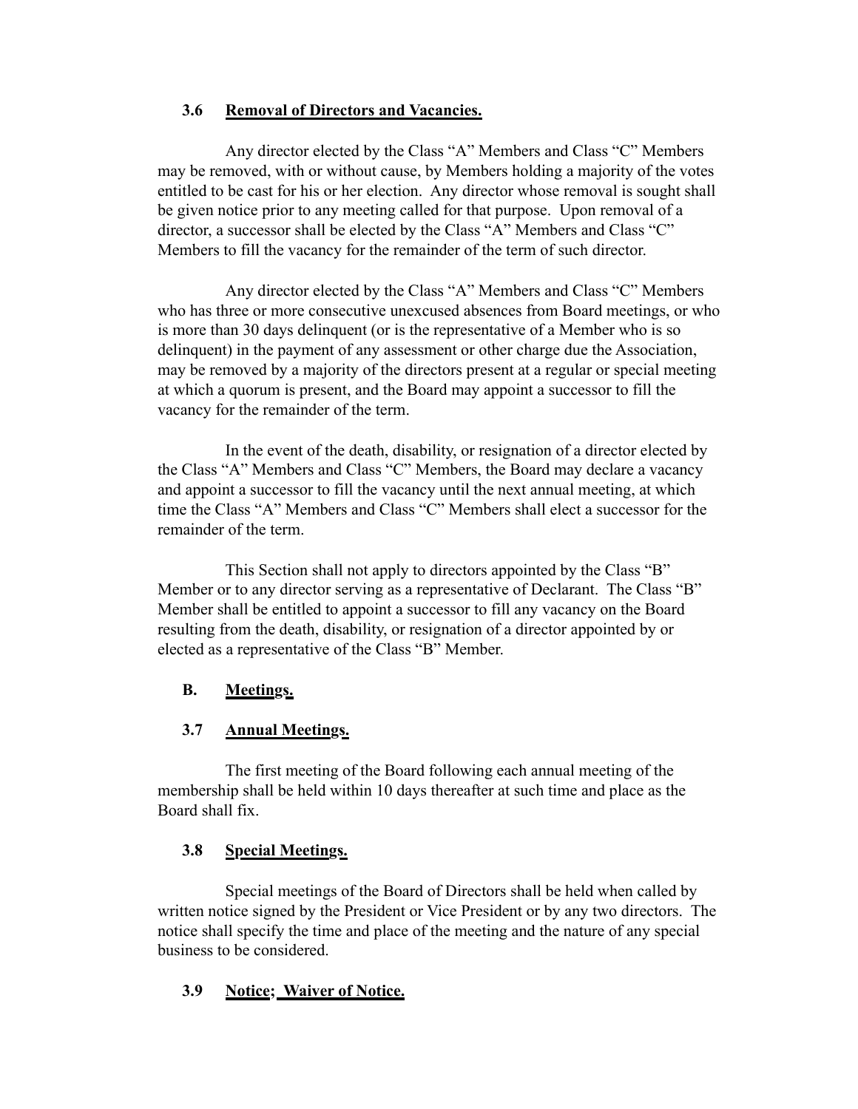## **3.6 Removal of Directors and Vacancies.**

Any director elected by the Class "A" Members and Class "C" Members may be removed, with or without cause, by Members holding a majority of the votes entitled to be cast for his or her election. Any director whose removal is sought shall be given notice prior to any meeting called for that purpose. Upon removal of a director, a successor shall be elected by the Class "A" Members and Class "C" Members to fill the vacancy for the remainder of the term of such director.

Any director elected by the Class "A" Members and Class "C" Members who has three or more consecutive unexcused absences from Board meetings, or who is more than 30 days delinquent (or is the representative of a Member who is so delinquent) in the payment of any assessment or other charge due the Association, may be removed by a majority of the directors present at a regular or special meeting at which a quorum is present, and the Board may appoint a successor to fill the vacancy for the remainder of the term.

In the event of the death, disability, or resignation of a director elected by the Class "A" Members and Class "C" Members, the Board may declare a vacancy and appoint a successor to fill the vacancy until the next annual meeting, at which time the Class "A" Members and Class "C" Members shall elect a successor for the remainder of the term.

This Section shall not apply to directors appointed by the Class "B" Member or to any director serving as a representative of Declarant. The Class "B" Member shall be entitled to appoint a successor to fill any vacancy on the Board resulting from the death, disability, or resignation of a director appointed by or elected as a representative of the Class "B" Member.

# **B. Meetings.**

# **3.7 Annual Meetings.**

The first meeting of the Board following each annual meeting of the membership shall be held within 10 days thereafter at such time and place as the Board shall fix.

# **3.8 Special Meetings.**

Special meetings of the Board of Directors shall be held when called by written notice signed by the President or Vice President or by any two directors. The notice shall specify the time and place of the meeting and the nature of any special business to be considered.

# **3.9 Notice; Waiver of Notice.**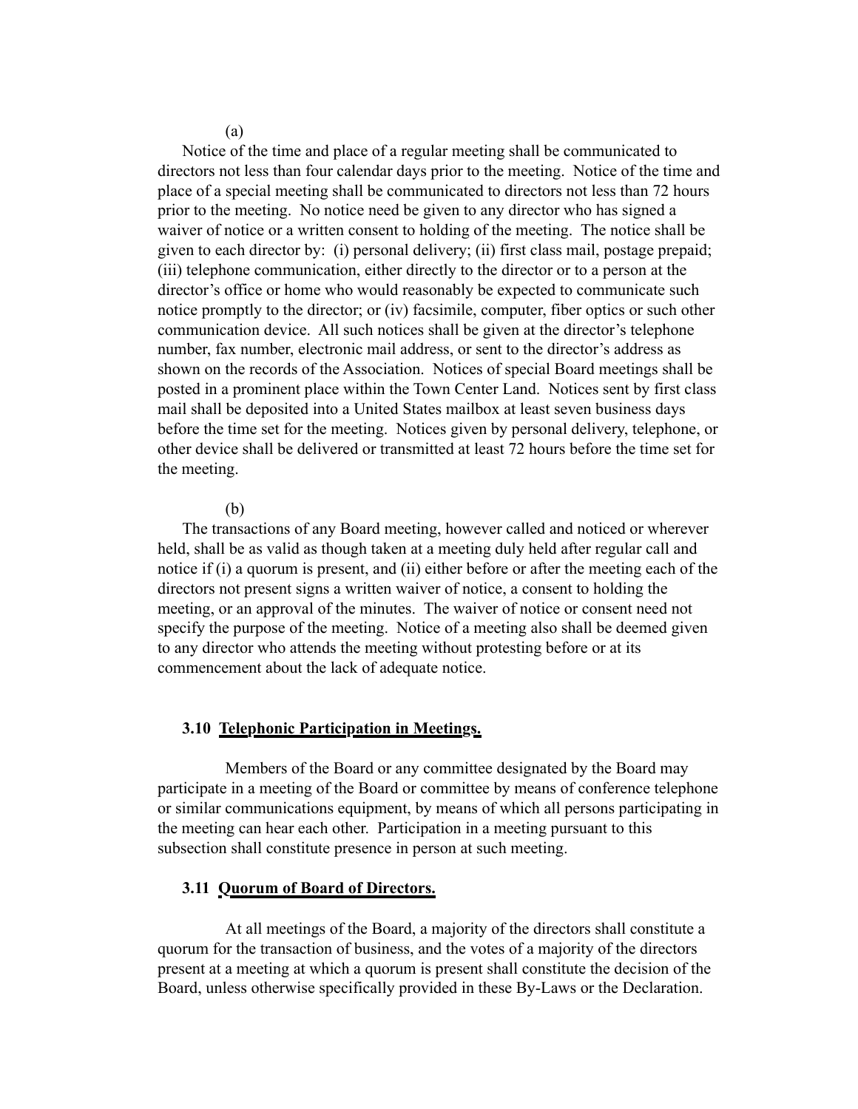(a)

Notice of the time and place of a regular meeting shall be communicated to directors not less than four calendar days prior to the meeting. Notice of the time and place of a special meeting shall be communicated to directors not less than 72 hours prior to the meeting. No notice need be given to any director who has signed a waiver of notice or a written consent to holding of the meeting. The notice shall be given to each director by: (i) personal delivery; (ii) first class mail, postage prepaid; (iii) telephone communication, either directly to the director or to a person at the director's office or home who would reasonably be expected to communicate such notice promptly to the director; or (iv) facsimile, computer, fiber optics or such other communication device. All such notices shall be given at the director's telephone number, fax number, electronic mail address, or sent to the director's address as shown on the records of the Association. Notices of special Board meetings shall be posted in a prominent place within the Town Center Land. Notices sent by first class mail shall be deposited into a United States mailbox at least seven business days before the time set for the meeting. Notices given by personal delivery, telephone, or other device shall be delivered or transmitted at least 72 hours before the time set for the meeting.

### (b)

The transactions of any Board meeting, however called and noticed or wherever held, shall be as valid as though taken at a meeting duly held after regular call and notice if (i) a quorum is present, and (ii) either before or after the meeting each of the directors not present signs a written waiver of notice, a consent to holding the meeting, or an approval of the minutes. The waiver of notice or consent need not specify the purpose of the meeting. Notice of a meeting also shall be deemed given to any director who attends the meeting without protesting before or at its commencement about the lack of adequate notice.

#### **3.10 Telephonic Participation in Meetings.**

Members of the Board or any committee designated by the Board may participate in a meeting of the Board or committee by means of conference telephone or similar communications equipment, by means of which all persons participating in the meeting can hear each other. Participation in a meeting pursuant to this subsection shall constitute presence in person at such meeting.

## **3.11 Quorum of Board of Directors.**

At all meetings of the Board, a majority of the directors shall constitute a quorum for the transaction of business, and the votes of a majority of the directors present at a meeting at which a quorum is present shall constitute the decision of the Board, unless otherwise specifically provided in these By-Laws or the Declaration.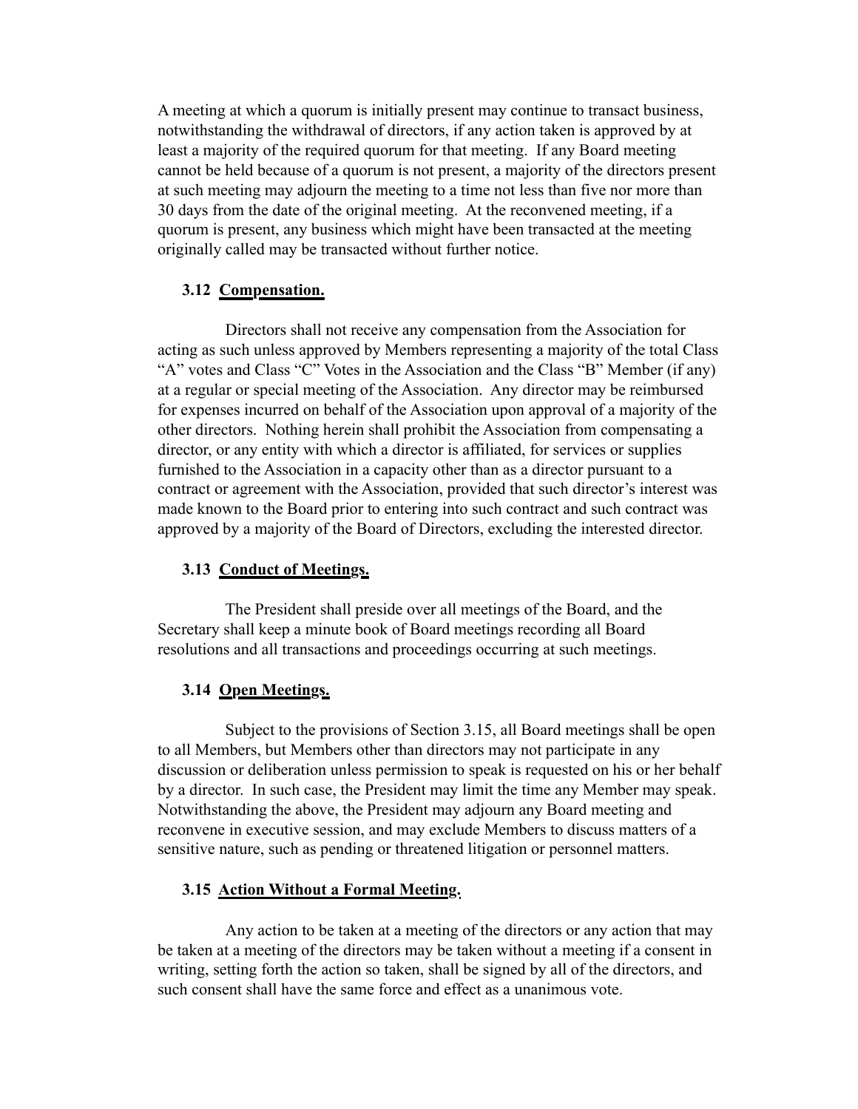A meeting at which a quorum is initially present may continue to transact business, notwithstanding the withdrawal of directors, if any action taken is approved by at least a majority of the required quorum for that meeting. If any Board meeting cannot be held because of a quorum is not present, a majority of the directors present at such meeting may adjourn the meeting to a time not less than five nor more than 30 days from the date of the original meeting. At the reconvened meeting, if a quorum is present, any business which might have been transacted at the meeting originally called may be transacted without further notice.

## **3.12 Compensation.**

Directors shall not receive any compensation from the Association for acting as such unless approved by Members representing a majority of the total Class "A" votes and Class "C" Votes in the Association and the Class "B" Member (if any) at a regular or special meeting of the Association. Any director may be reimbursed for expenses incurred on behalf of the Association upon approval of a majority of the other directors. Nothing herein shall prohibit the Association from compensating a director, or any entity with which a director is affiliated, for services or supplies furnished to the Association in a capacity other than as a director pursuant to a contract or agreement with the Association, provided that such director's interest was made known to the Board prior to entering into such contract and such contract was approved by a majority of the Board of Directors, excluding the interested director.

# **3.13 Conduct of Meetings.**

The President shall preside over all meetings of the Board, and the Secretary shall keep a minute book of Board meetings recording all Board resolutions and all transactions and proceedings occurring at such meetings.

# **3.14 Open Meetings.**

Subject to the provisions of Section 3.15, all Board meetings shall be open to all Members, but Members other than directors may not participate in any discussion or deliberation unless permission to speak is requested on his or her behalf by a director. In such case, the President may limit the time any Member may speak. Notwithstanding the above, the President may adjourn any Board meeting and reconvene in executive session, and may exclude Members to discuss matters of a sensitive nature, such as pending or threatened litigation or personnel matters.

# **3.15 Action Without a Formal Meeting.**

Any action to be taken at a meeting of the directors or any action that may be taken at a meeting of the directors may be taken without a meeting if a consent in writing, setting forth the action so taken, shall be signed by all of the directors, and such consent shall have the same force and effect as a unanimous vote.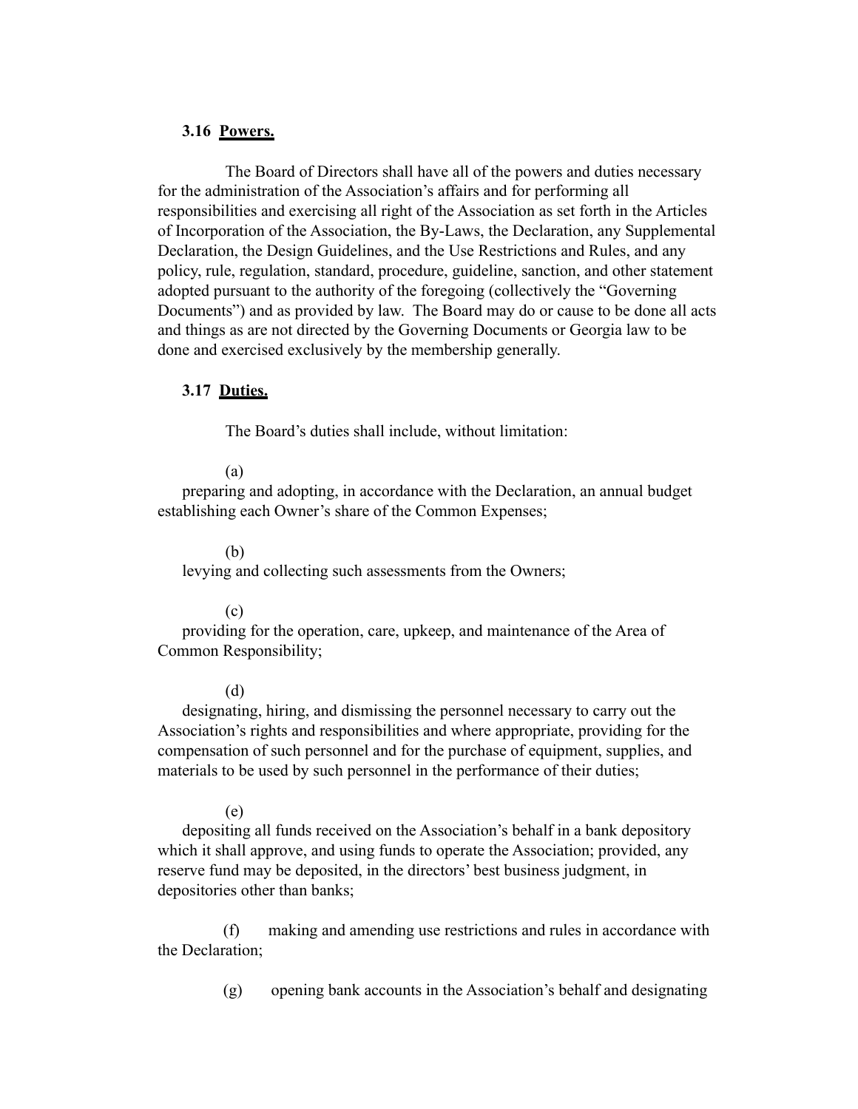## **3.16 Powers.**

The Board of Directors shall have all of the powers and duties necessary for the administration of the Association's affairs and for performing all responsibilities and exercising all right of the Association as set forth in the Articles of Incorporation of the Association, the By-Laws, the Declaration, any Supplemental Declaration, the Design Guidelines, and the Use Restrictions and Rules, and any policy, rule, regulation, standard, procedure, guideline, sanction, and other statement adopted pursuant to the authority of the foregoing (collectively the "Governing Documents") and as provided by law. The Board may do or cause to be done all acts and things as are not directed by the Governing Documents or Georgia law to be done and exercised exclusively by the membership generally.

### **3.17 Duties.**

The Board's duties shall include, without limitation:

#### (a)

preparing and adopting, in accordance with the Declaration, an annual budget establishing each Owner's share of the Common Expenses;

#### (b)

levying and collecting such assessments from the Owners;

### (c)

providing for the operation, care, upkeep, and maintenance of the Area of Common Responsibility;

#### (d)

designating, hiring, and dismissing the personnel necessary to carry out the Association's rights and responsibilities and where appropriate, providing for the compensation of such personnel and for the purchase of equipment, supplies, and materials to be used by such personnel in the performance of their duties;

#### (e)

depositing all funds received on the Association's behalf in a bank depository which it shall approve, and using funds to operate the Association; provided, any reserve fund may be deposited, in the directors' best business judgment, in depositories other than banks;

 (f) making and amending use restrictions and rules in accordance with the Declaration;

(g) opening bank accounts in the Association's behalf and designating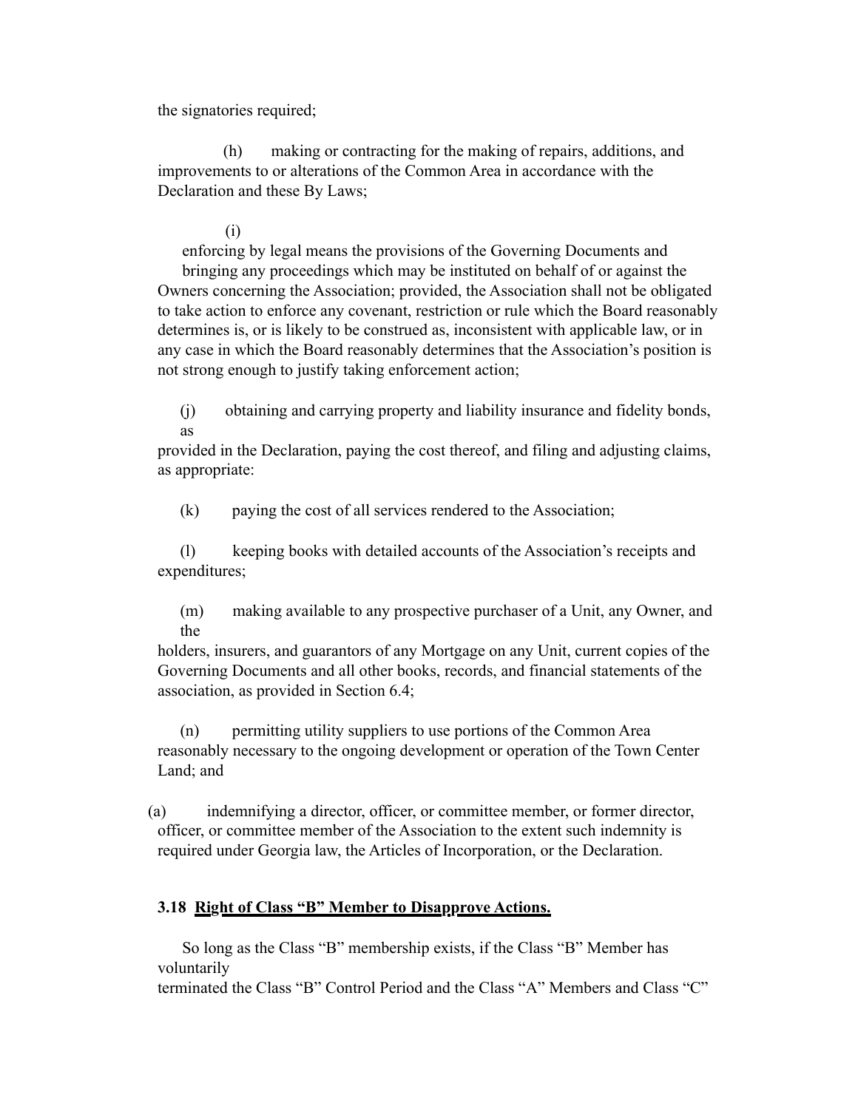the signatories required;

 (h) making or contracting for the making of repairs, additions, and improvements to or alterations of the Common Area in accordance with the Declaration and these By Laws;

## (i)

enforcing by legal means the provisions of the Governing Documents and bringing any proceedings which may be instituted on behalf of or against the Owners concerning the Association; provided, the Association shall not be obligated to take action to enforce any covenant, restriction or rule which the Board reasonably determines is, or is likely to be construed as, inconsistent with applicable law, or in any case in which the Board reasonably determines that the Association's position is not strong enough to justify taking enforcement action;

(j) obtaining and carrying property and liability insurance and fidelity bonds, as

provided in the Declaration, paying the cost thereof, and filing and adjusting claims, as appropriate:

(k) paying the cost of all services rendered to the Association;

(l) keeping books with detailed accounts of the Association's receipts and expenditures;

(m) making available to any prospective purchaser of a Unit, any Owner, and the

holders, insurers, and guarantors of any Mortgage on any Unit, current copies of the Governing Documents and all other books, records, and financial statements of the association, as provided in Section 6.4;

(n) permitting utility suppliers to use portions of the Common Area reasonably necessary to the ongoing development or operation of the Town Center Land; and

(a) indemnifying a director, officer, or committee member, or former director, officer, or committee member of the Association to the extent such indemnity is required under Georgia law, the Articles of Incorporation, or the Declaration.

## **3.18 Right of Class "B" Member to Disapprove Actions.**

So long as the Class "B" membership exists, if the Class "B" Member has voluntarily

terminated the Class "B" Control Period and the Class "A" Members and Class "C"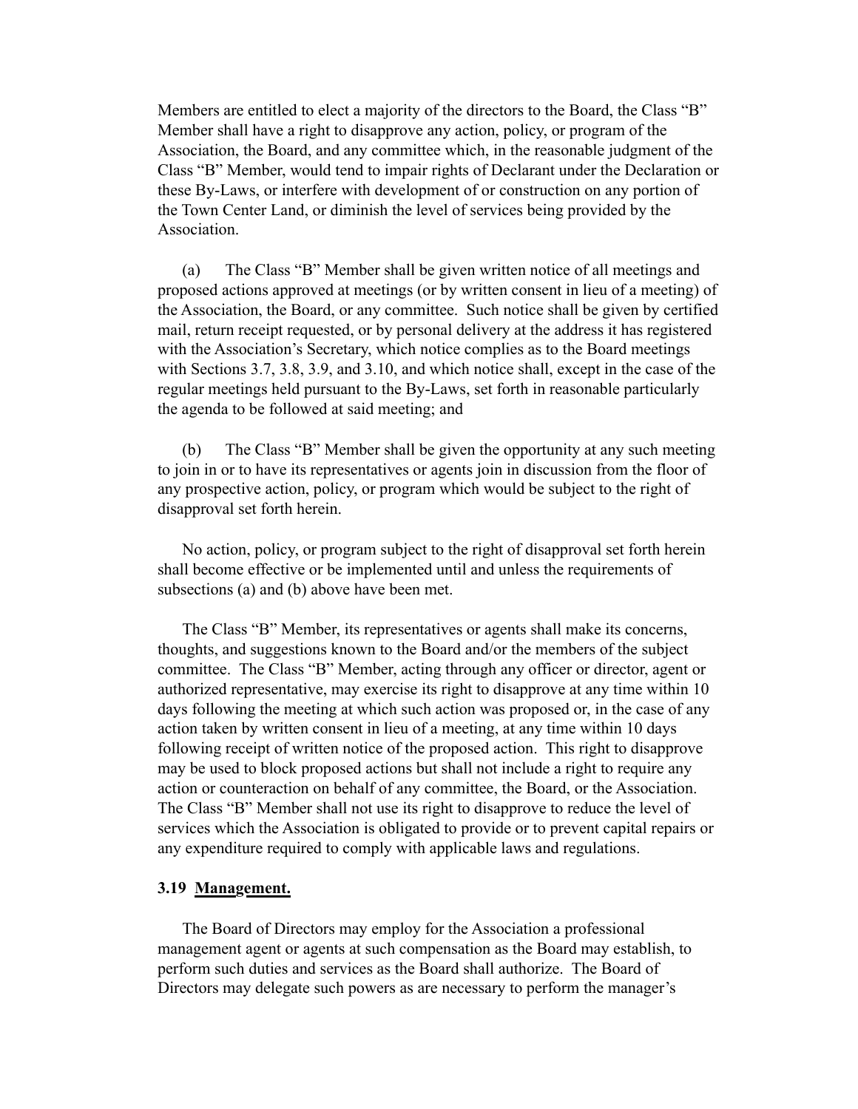Members are entitled to elect a majority of the directors to the Board, the Class "B" Member shall have a right to disapprove any action, policy, or program of the Association, the Board, and any committee which, in the reasonable judgment of the Class "B" Member, would tend to impair rights of Declarant under the Declaration or these By-Laws, or interfere with development of or construction on any portion of the Town Center Land, or diminish the level of services being provided by the **Association** 

(a) The Class "B" Member shall be given written notice of all meetings and proposed actions approved at meetings (or by written consent in lieu of a meeting) of the Association, the Board, or any committee. Such notice shall be given by certified mail, return receipt requested, or by personal delivery at the address it has registered with the Association's Secretary, which notice complies as to the Board meetings with Sections 3.7, 3.8, 3.9, and 3.10, and which notice shall, except in the case of the regular meetings held pursuant to the By-Laws, set forth in reasonable particularly the agenda to be followed at said meeting; and

(b) The Class "B" Member shall be given the opportunity at any such meeting to join in or to have its representatives or agents join in discussion from the floor of any prospective action, policy, or program which would be subject to the right of disapproval set forth herein.

No action, policy, or program subject to the right of disapproval set forth herein shall become effective or be implemented until and unless the requirements of subsections (a) and (b) above have been met.

The Class "B" Member, its representatives or agents shall make its concerns, thoughts, and suggestions known to the Board and/or the members of the subject committee. The Class "B" Member, acting through any officer or director, agent or authorized representative, may exercise its right to disapprove at any time within 10 days following the meeting at which such action was proposed or, in the case of any action taken by written consent in lieu of a meeting, at any time within 10 days following receipt of written notice of the proposed action. This right to disapprove may be used to block proposed actions but shall not include a right to require any action or counteraction on behalf of any committee, the Board, or the Association. The Class "B" Member shall not use its right to disapprove to reduce the level of services which the Association is obligated to provide or to prevent capital repairs or any expenditure required to comply with applicable laws and regulations.

## **3.19 Management.**

The Board of Directors may employ for the Association a professional management agent or agents at such compensation as the Board may establish, to perform such duties and services as the Board shall authorize. The Board of Directors may delegate such powers as are necessary to perform the manager's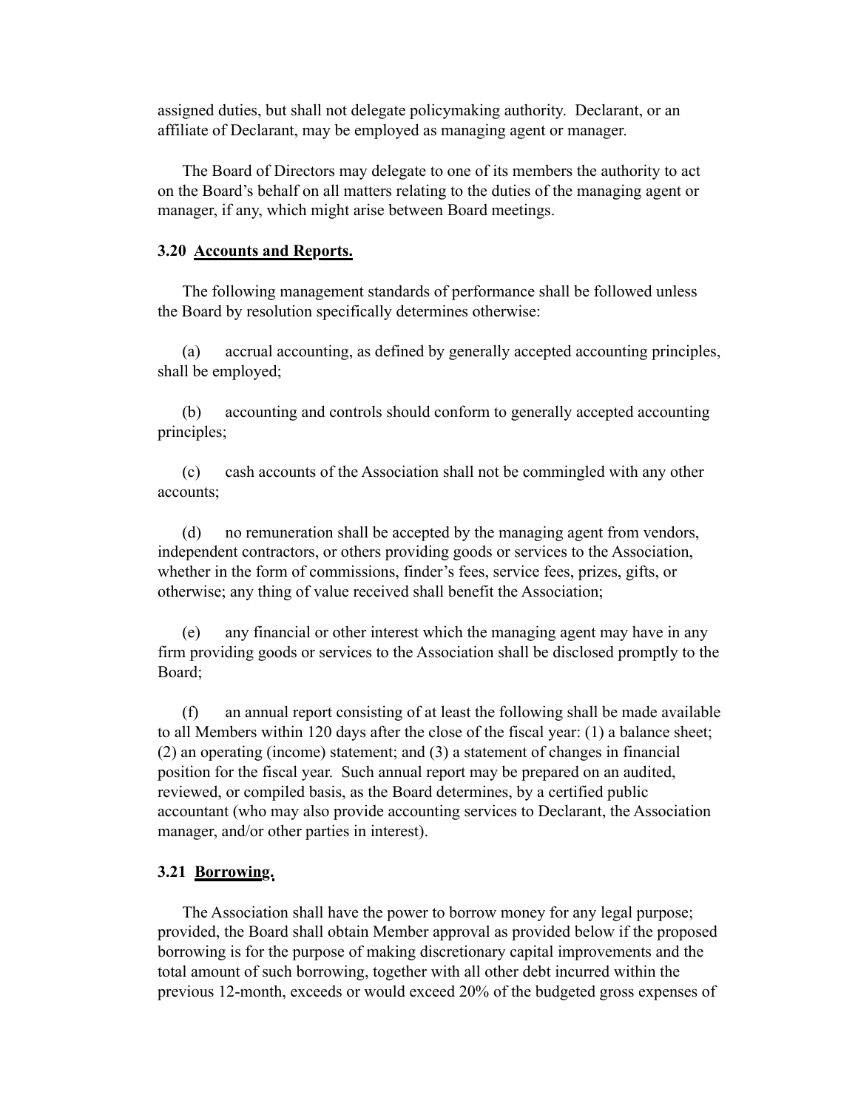assigned duties, but shall not delegate policymaking authority. Declarant, or an affiliate of Declarant, may be employed as managing agent or manager.

The Board of Directors may delegate to one of its members the authority to act on the Board's behalf on all matters relating to the duties of the managing agent or manager, if any, which might arise between Board meetings.

### **3.20 Accounts and Reports.**

The following management standards of performance shall be followed unless the Board by resolution specifically determines otherwise:

(a) accrual accounting, as defined by generally accepted accounting principles, shall be employed;

(b) accounting and controls should conform to generally accepted accounting principles;

(c) cash accounts of the Association shall not be commingled with any other accounts;

(d) no remuneration shall be accepted by the managing agent from vendors, independent contractors, or others providing goods or services to the Association, whether in the form of commissions, finder's fees, service fees, prizes, gifts, or otherwise; any thing of value received shall benefit the Association;

(e) any financial or other interest which the managing agent may have in any firm providing goods or services to the Association shall be disclosed promptly to the Board;

(f) an annual report consisting of at least the following shall be made available to all Members within 120 days after the close of the fiscal year: (1) a balance sheet; (2) an operating (income) statement; and (3) a statement of changes in financial position for the fiscal year. Such annual report may be prepared on an audited, reviewed, or compiled basis, as the Board determines, by a certified public accountant (who may also provide accounting services to Declarant, the Association manager, and/or other parties in interest).

### **3.21 Borrowing.**

The Association shall have the power to borrow money for any legal purpose; provided, the Board shall obtain Member approval as provided below if the proposed borrowing is for the purpose of making discretionary capital improvements and the total amount of such borrowing, together with all other debt incurred within the previous 12-month, exceeds or would exceed 20% of the budgeted gross expenses of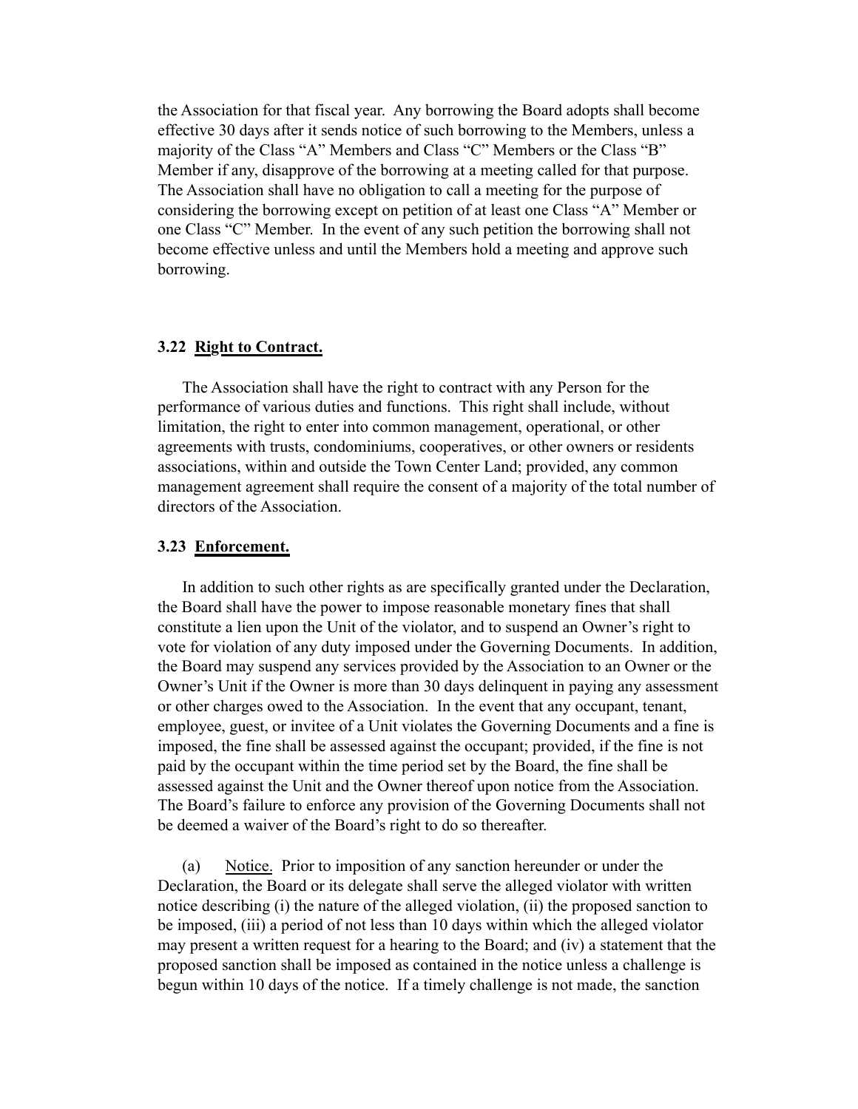the Association for that fiscal year. Any borrowing the Board adopts shall become effective 30 days after it sends notice of such borrowing to the Members, unless a majority of the Class "A" Members and Class "C" Members or the Class "B" Member if any, disapprove of the borrowing at a meeting called for that purpose. The Association shall have no obligation to call a meeting for the purpose of considering the borrowing except on petition of at least one Class "A" Member or one Class "C" Member. In the event of any such petition the borrowing shall not become effective unless and until the Members hold a meeting and approve such borrowing.

### **3.22 Right to Contract.**

The Association shall have the right to contract with any Person for the performance of various duties and functions. This right shall include, without limitation, the right to enter into common management, operational, or other agreements with trusts, condominiums, cooperatives, or other owners or residents associations, within and outside the Town Center Land; provided, any common management agreement shall require the consent of a majority of the total number of directors of the Association.

### **3.23 Enforcement.**

In addition to such other rights as are specifically granted under the Declaration, the Board shall have the power to impose reasonable monetary fines that shall constitute a lien upon the Unit of the violator, and to suspend an Owner's right to vote for violation of any duty imposed under the Governing Documents. In addition, the Board may suspend any services provided by the Association to an Owner or the Owner's Unit if the Owner is more than 30 days delinquent in paying any assessment or other charges owed to the Association. In the event that any occupant, tenant, employee, guest, or invitee of a Unit violates the Governing Documents and a fine is imposed, the fine shall be assessed against the occupant; provided, if the fine is not paid by the occupant within the time period set by the Board, the fine shall be assessed against the Unit and the Owner thereof upon notice from the Association. The Board's failure to enforce any provision of the Governing Documents shall not be deemed a waiver of the Board's right to do so thereafter.

(a) Notice. Prior to imposition of any sanction hereunder or under the Declaration, the Board or its delegate shall serve the alleged violator with written notice describing (i) the nature of the alleged violation, (ii) the proposed sanction to be imposed, (iii) a period of not less than 10 days within which the alleged violator may present a written request for a hearing to the Board; and (iv) a statement that the proposed sanction shall be imposed as contained in the notice unless a challenge is begun within 10 days of the notice. If a timely challenge is not made, the sanction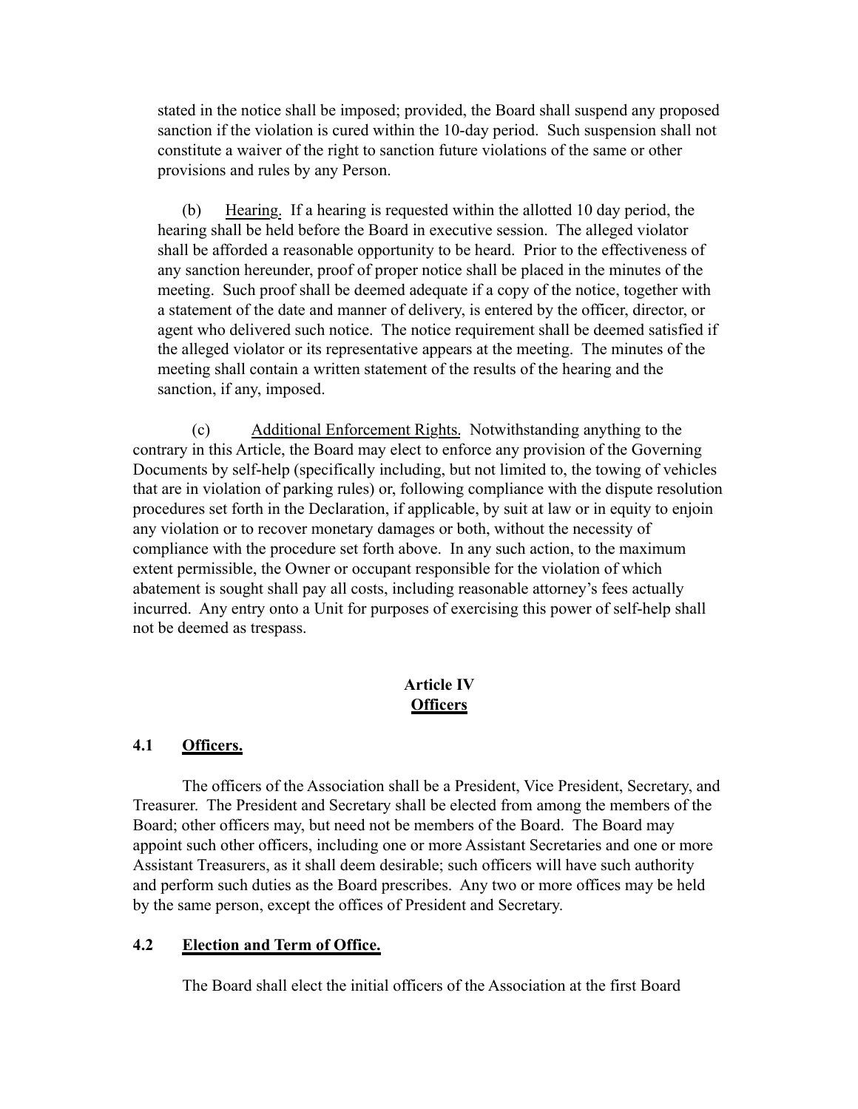stated in the notice shall be imposed; provided, the Board shall suspend any proposed sanction if the violation is cured within the 10-day period. Such suspension shall not constitute a waiver of the right to sanction future violations of the same or other provisions and rules by any Person.

(b) Hearing. If a hearing is requested within the allotted 10 day period, the hearing shall be held before the Board in executive session. The alleged violator shall be afforded a reasonable opportunity to be heard. Prior to the effectiveness of any sanction hereunder, proof of proper notice shall be placed in the minutes of the meeting. Such proof shall be deemed adequate if a copy of the notice, together with a statement of the date and manner of delivery, is entered by the officer, director, or agent who delivered such notice. The notice requirement shall be deemed satisfied if the alleged violator or its representative appears at the meeting. The minutes of the meeting shall contain a written statement of the results of the hearing and the sanction, if any, imposed.

(c) Additional Enforcement Rights. Notwithstanding anything to the contrary in this Article, the Board may elect to enforce any provision of the Governing Documents by self-help (specifically including, but not limited to, the towing of vehicles that are in violation of parking rules) or, following compliance with the dispute resolution procedures set forth in the Declaration, if applicable, by suit at law or in equity to enjoin any violation or to recover monetary damages or both, without the necessity of compliance with the procedure set forth above. In any such action, to the maximum extent permissible, the Owner or occupant responsible for the violation of which abatement is sought shall pay all costs, including reasonable attorney's fees actually incurred. Any entry onto a Unit for purposes of exercising this power of self-help shall not be deemed as trespass.

## **Article IV Officers**

# **4.1 Officers.**

The officers of the Association shall be a President, Vice President, Secretary, and Treasurer. The President and Secretary shall be elected from among the members of the Board; other officers may, but need not be members of the Board. The Board may appoint such other officers, including one or more Assistant Secretaries and one or more Assistant Treasurers, as it shall deem desirable; such officers will have such authority and perform such duties as the Board prescribes. Any two or more offices may be held by the same person, except the offices of President and Secretary.

## **4.2 Election and Term of Office.**

The Board shall elect the initial officers of the Association at the first Board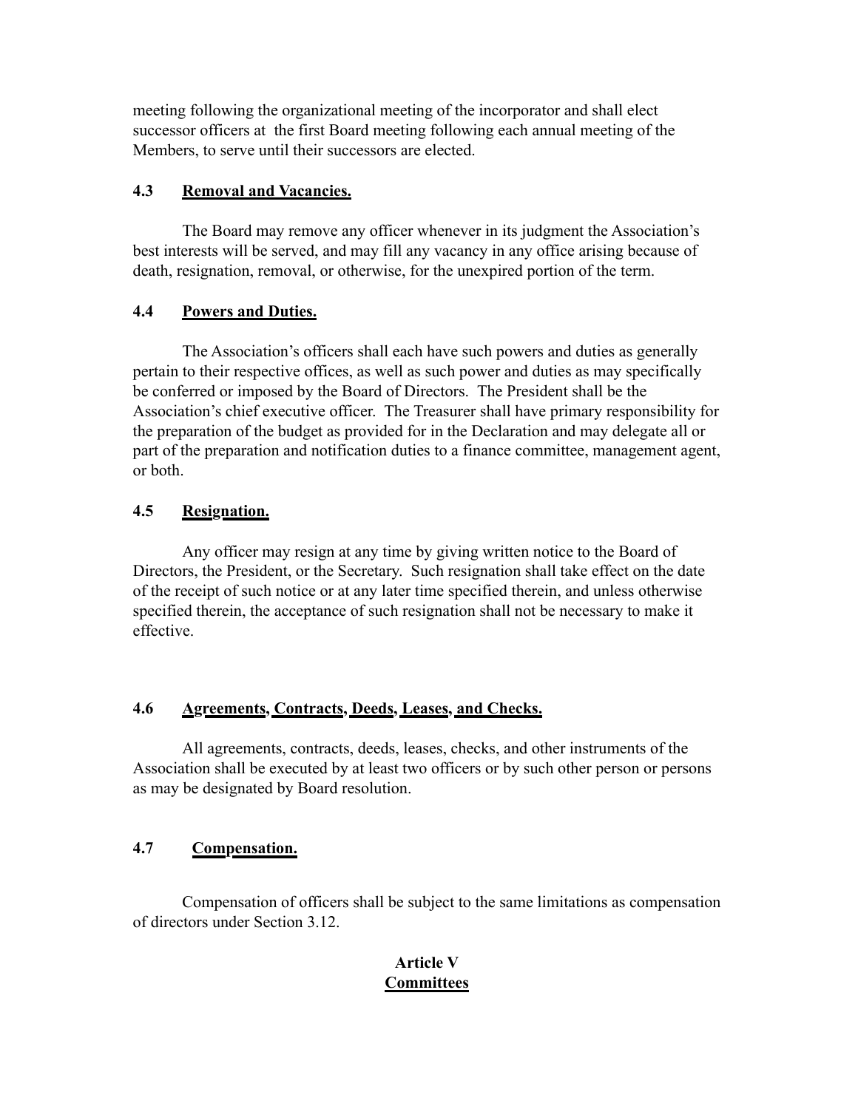meeting following the organizational meeting of the incorporator and shall elect successor officers at the first Board meeting following each annual meeting of the Members, to serve until their successors are elected.

# **4.3 Removal and Vacancies.**

The Board may remove any officer whenever in its judgment the Association's best interests will be served, and may fill any vacancy in any office arising because of death, resignation, removal, or otherwise, for the unexpired portion of the term.

# **4.4 Powers and Duties.**

The Association's officers shall each have such powers and duties as generally pertain to their respective offices, as well as such power and duties as may specifically be conferred or imposed by the Board of Directors. The President shall be the Association's chief executive officer. The Treasurer shall have primary responsibility for the preparation of the budget as provided for in the Declaration and may delegate all or part of the preparation and notification duties to a finance committee, management agent, or both.

# **4.5 Resignation.**

Any officer may resign at any time by giving written notice to the Board of Directors, the President, or the Secretary. Such resignation shall take effect on the date of the receipt of such notice or at any later time specified therein, and unless otherwise specified therein, the acceptance of such resignation shall not be necessary to make it effective.

# **4.6 Agreements, Contracts, Deeds, Leases, and Checks.**

All agreements, contracts, deeds, leases, checks, and other instruments of the Association shall be executed by at least two officers or by such other person or persons as may be designated by Board resolution.

# **4.7 Compensation.**

Compensation of officers shall be subject to the same limitations as compensation of directors under Section 3.12.

# **Article V Committees**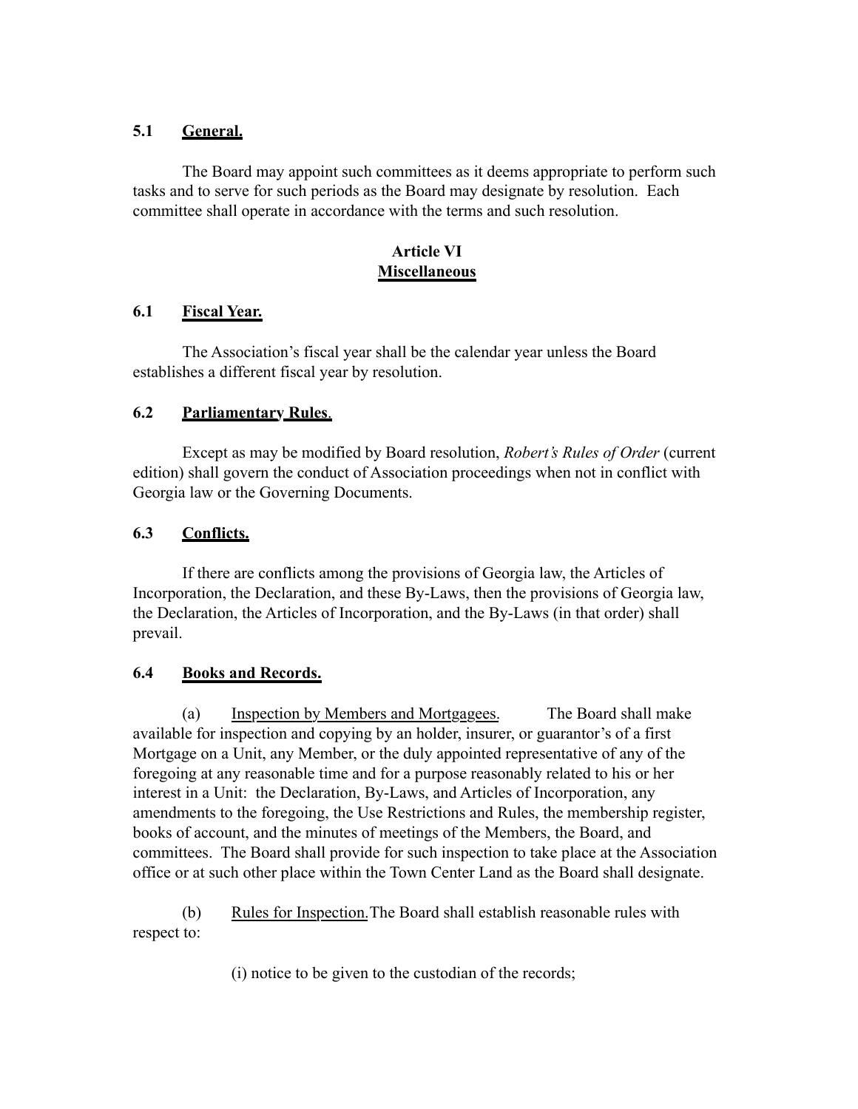# **5.1 General.**

The Board may appoint such committees as it deems appropriate to perform such tasks and to serve for such periods as the Board may designate by resolution. Each committee shall operate in accordance with the terms and such resolution.

# **Article VI Miscellaneous**

# **6.1 Fiscal Year.**

The Association's fiscal year shall be the calendar year unless the Board establishes a different fiscal year by resolution.

# **6.2 Parliamentary Rules**.

Except as may be modified by Board resolution, *Robert's Rules of Order* (current edition) shall govern the conduct of Association proceedings when not in conflict with Georgia law or the Governing Documents.

# **6.3 Conflicts.**

If there are conflicts among the provisions of Georgia law, the Articles of Incorporation, the Declaration, and these By-Laws, then the provisions of Georgia law, the Declaration, the Articles of Incorporation, and the By-Laws (in that order) shall prevail.

# **6.4 Books and Records.**

(a) Inspection by Members and Mortgagees. The Board shall make available for inspection and copying by an holder, insurer, or guarantor's of a first Mortgage on a Unit, any Member, or the duly appointed representative of any of the foregoing at any reasonable time and for a purpose reasonably related to his or her interest in a Unit: the Declaration, By-Laws, and Articles of Incorporation, any amendments to the foregoing, the Use Restrictions and Rules, the membership register, books of account, and the minutes of meetings of the Members, the Board, and committees. The Board shall provide for such inspection to take place at the Association office or at such other place within the Town Center Land as the Board shall designate.

(b) Rules for Inspection.The Board shall establish reasonable rules with respect to:

(i) notice to be given to the custodian of the records;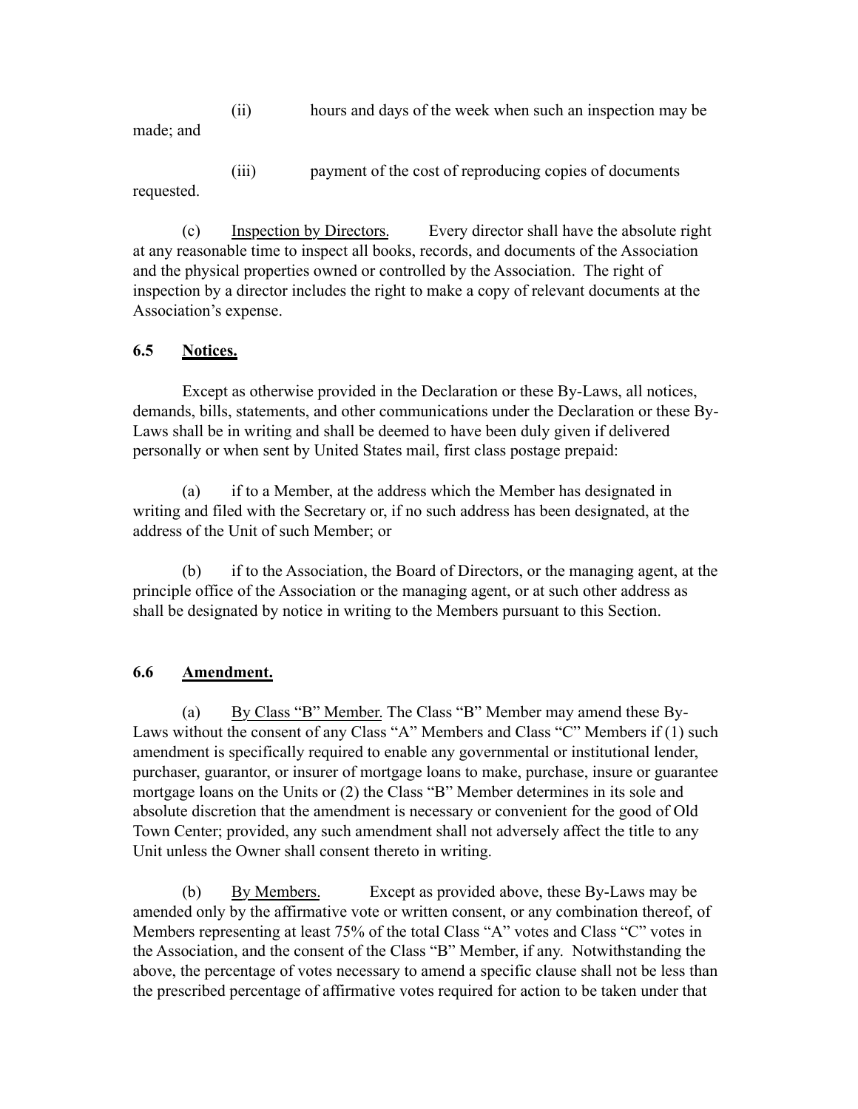(ii) hours and days of the week when such an inspection may be made; and

(iii) payment of the cost of reproducing copies of documents requested.

(c) Inspection by Directors. Every director shall have the absolute right at any reasonable time to inspect all books, records, and documents of the Association and the physical properties owned or controlled by the Association. The right of inspection by a director includes the right to make a copy of relevant documents at the Association's expense.

# **6.5 Notices.**

Except as otherwise provided in the Declaration or these By-Laws, all notices, demands, bills, statements, and other communications under the Declaration or these By-Laws shall be in writing and shall be deemed to have been duly given if delivered personally or when sent by United States mail, first class postage prepaid:

(a) if to a Member, at the address which the Member has designated in writing and filed with the Secretary or, if no such address has been designated, at the address of the Unit of such Member; or

(b) if to the Association, the Board of Directors, or the managing agent, at the principle office of the Association or the managing agent, or at such other address as shall be designated by notice in writing to the Members pursuant to this Section.

## **6.6 Amendment.**

(a) By Class "B" Member. The Class "B" Member may amend these By-Laws without the consent of any Class "A" Members and Class "C" Members if (1) such amendment is specifically required to enable any governmental or institutional lender, purchaser, guarantor, or insurer of mortgage loans to make, purchase, insure or guarantee mortgage loans on the Units or (2) the Class "B" Member determines in its sole and absolute discretion that the amendment is necessary or convenient for the good of Old Town Center; provided, any such amendment shall not adversely affect the title to any Unit unless the Owner shall consent thereto in writing.

(b) By Members. Except as provided above, these By-Laws may be amended only by the affirmative vote or written consent, or any combination thereof, of Members representing at least 75% of the total Class "A" votes and Class "C" votes in the Association, and the consent of the Class "B" Member, if any. Notwithstanding the above, the percentage of votes necessary to amend a specific clause shall not be less than the prescribed percentage of affirmative votes required for action to be taken under that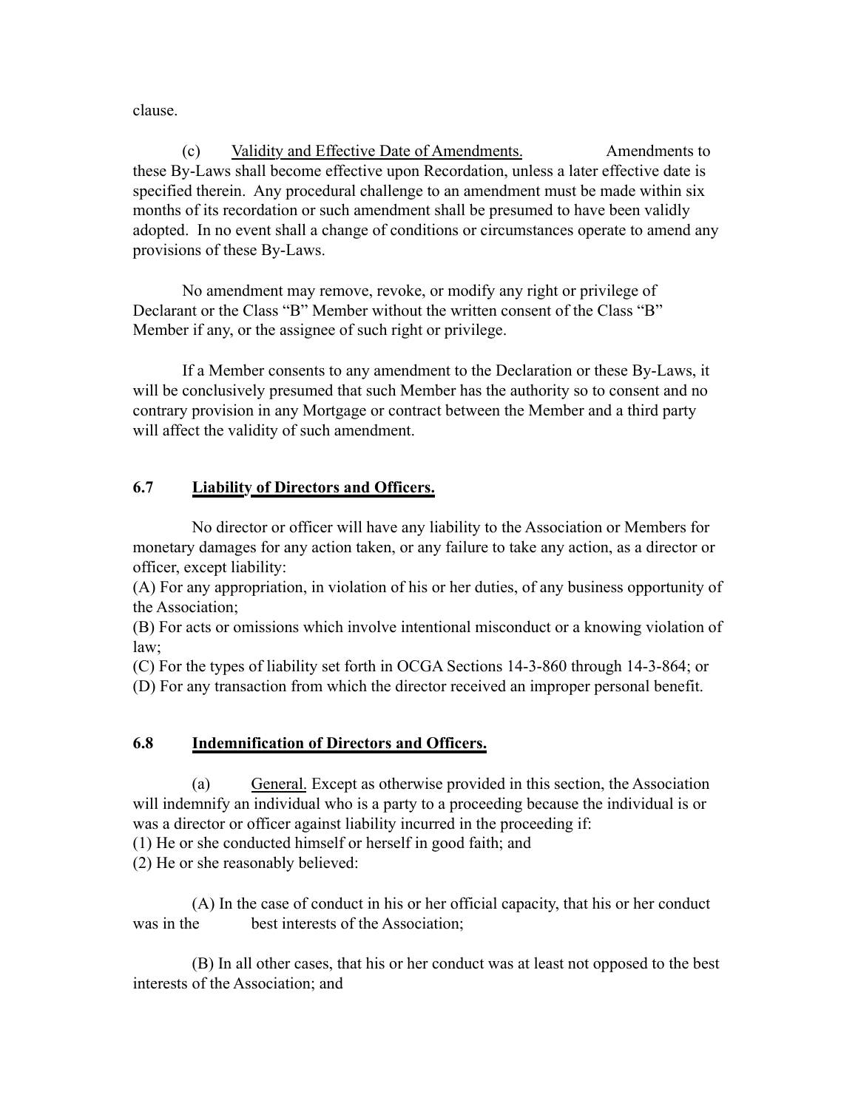clause.

(c) Validity and Effective Date of Amendments. Amendments to these By-Laws shall become effective upon Recordation, unless a later effective date is specified therein. Any procedural challenge to an amendment must be made within six months of its recordation or such amendment shall be presumed to have been validly adopted. In no event shall a change of conditions or circumstances operate to amend any provisions of these By-Laws.

No amendment may remove, revoke, or modify any right or privilege of Declarant or the Class "B" Member without the written consent of the Class "B" Member if any, or the assignee of such right or privilege.

If a Member consents to any amendment to the Declaration or these By-Laws, it will be conclusively presumed that such Member has the authority so to consent and no contrary provision in any Mortgage or contract between the Member and a third party will affect the validity of such amendment.

# **6.7 Liability of Directors and Officers.**

No director or officer will have any liability to the Association or Members for monetary damages for any action taken, or any failure to take any action, as a director or officer, except liability:

(A) For any appropriation, in violation of his or her duties, of any business opportunity of the Association;

(B) For acts or omissions which involve intentional misconduct or a knowing violation of law;

(C) For the types of liability set forth in [OCGA Sections 14-3-860](http://web2.westlaw.com/find/default.wl?mt=Westlaw&db=1000468&docname=GAST14-3-860&rp=%2Ffind%2Fdefault.wl&findtype=L&ordoc=10843082&tc=-1&vr=2.0&fn=_top&sv=Split&tf=-1&pbc=5FC9F2CD&rs=WLW13.10) through [14-3-864](http://web2.westlaw.com/find/default.wl?mt=Westlaw&db=1000468&docname=GAST14-3-864&rp=%2Ffind%2Fdefault.wl&findtype=L&ordoc=10843082&tc=-1&vr=2.0&fn=_top&sv=Split&tf=-1&pbc=5FC9F2CD&rs=WLW13.10); or

(D) For any transaction from which the director received an improper personal benefit.

# **6.8 Indemnification of Directors and Officers.**

(a) General. Except as otherwise provided in this section, the Association will indemnify an individual who is a party to a proceeding because the individual is or was a director or officer against liability incurred in the proceeding if:

(1) He or she conducted himself or herself in good faith; and

(2) He or she reasonably believed:

(A) In the case of conduct in his or her official capacity, that his or her conduct was in the best interests of the Association;

(B) In all other cases, that his or her conduct was at least not opposed to the best interests of the Association; and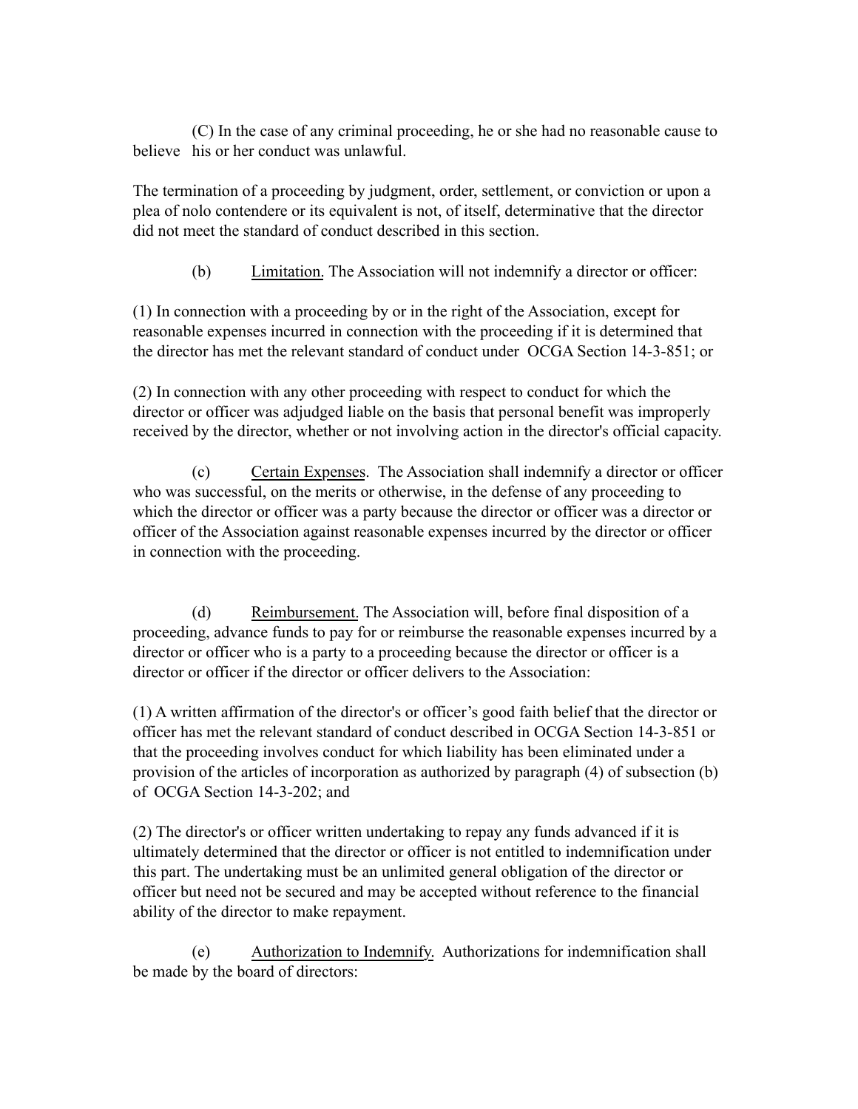(C) In the case of any criminal proceeding, he or she had no reasonable cause to believe his or her conduct was unlawful.

The termination of a proceeding by judgment, order, settlement, or conviction or upon a plea of nolo contendere or its equivalent is not, of itself, determinative that the director did not meet the standard of conduct described in this section.

(b) Limitation. The Association will not indemnify a director or officer:

(1) In connection with a proceeding by or in the right of the Association, except for reasonable expenses incurred in connection with the proceeding if it is determined that the director has met the relevant standard of conduct under OCGA Section 14-3-851; or

(2) In connection with any other proceeding with respect to conduct for which the director or officer was adjudged liable on the basis that personal benefit was improperly received by the director, whether or not involving action in the director's official capacity.

(c) Certain Expenses. The Association shall indemnify a director or officer who was successful, on the merits or otherwise, in the defense of any proceeding to which the director or officer was a party because the director or officer was a director or officer of the Association against reasonable expenses incurred by the director or officer in connection with the proceeding.

(d) Reimbursement. The Association will, before final disposition of a proceeding, advance funds to pay for or reimburse the reasonable expenses incurred by a director or officer who is a party to a proceeding because the director or officer is a director or officer if the director or officer delivers to the Association:

(1) A written affirmation of the director's or officer's good faith belief that the director or officer has met the relevant standard of conduct described in [OCGA Section 14-3-851](http://www.westlaw.com/Find/Default.wl?rs=dfa1.0&vr=2.0&DB=1000468&DocName=GAST14-3-851&FindType=L) or that the proceeding involves conduct for which liability has been eliminated under a provision of the articles of incorporation as authorized by paragraph (4) of subsection (b) of [OCGA Section 14-3-202;](http://www.westlaw.com/Find/Default.wl?rs=dfa1.0&vr=2.0&DB=1000468&DocName=GAST14-3-202&FindType=L) and

(2) The director's or officer written undertaking to repay any funds advanced if it is ultimately determined that the director or officer is not entitled to indemnification under this part. The undertaking must be an unlimited general obligation of the director or officer but need not be secured and may be accepted without reference to the financial ability of the director to make repayment.

(e) Authorization to Indemnify. Authorizations for indemnification shall be made by the board of directors: